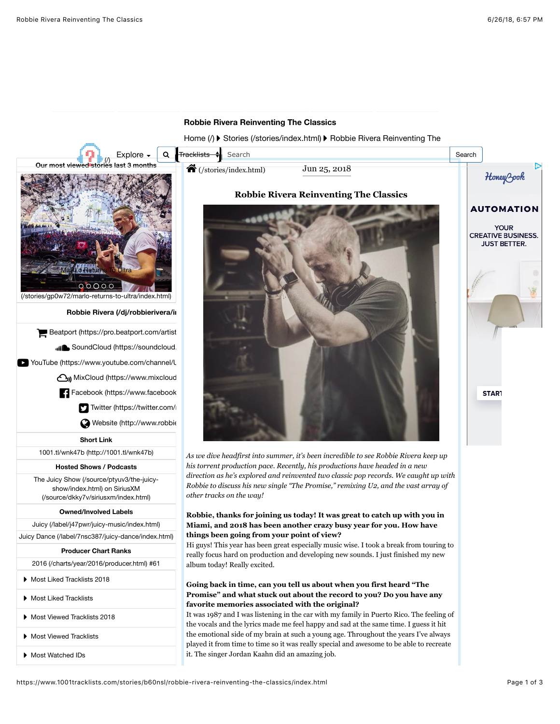## **Robbie Rivera Reinventing The Classics**

[Home \(/\)](https://www.1001tracklists.com/) ▶ [Stories \(/stories/index.html\)](https://www.1001tracklists.com/stories/index.html) ▶ Robbie Rivera Reinventing The Tracklists  $\triangleleft$ [Explore](https://www.1001tracklists.com/stories/b60nsl/robbie-rivera-reinventing-the-classics/index.html#)  $\cdot$  Q Tracklists  $\frac{1}{2}$  Search Search Search Search Search Search Search Search Search Search Search Search Search Search Search Search Search Search Search Search Search Search Search Search Search Search Sear Our most vie[wed stories](https://www.1001tracklists.com/) last 3 months<br> **Our most viewed stories** last 3 months Jun 25, 2018 Honey Zook **Robbie Rivera Reinventing The Classics AUTOMATION YOUR CREATIVE BUSINESS.** A Maria Andrew Company and Maria And **JUST BETTER.** MaRLo Returns To Ultra  $00000$  $\sqrt{1 - \pi}$ [\(/stories/gp0w72/marlo-returns-to-ultra/index.html\)](https://www.1001tracklists.com/stories/gp0w72/marlo-returns-to-ultra/index.html) **[Robbie Rivera \(/dj/robbierivera/in](https://www.1001tracklists.com/dj/robbierivera/index.html)** Beatport (https://pro.beatport.com/artist SoundCloud (https://soundcloud. YouTube (https://www.youtube.com/channel/L **(b)** [MixCloud \(https://www.mixcloud](https://www.mixcloud.com/robbierivera/)  $\cdot$  [Facebook \(https://www.facebook](https://www.facebook.com/robbierivera) STAR<sub>1</sub>  $\Box$  [Twitter \(https://twitter.com/r](https://twitter.com/robbierivera)obbi Website (http://www.robbie **Short Link** [1001.tl/wnk47b \(http://1001.tl/wnk47b\)](http://1001.tl/wnk47b) *As we dive headfirst into summer, it's been incredible to see Robbie Rivera keep up* **Hosted Shows / Podcasts** *his torrent production pace. Recently, his productions have headed in a new direction as he's explored and reinvented two classic pop records. We caught up with* [The Juicy Show \(/source/ptyuv3/the-juicy-](https://www.1001tracklists.com/source/ptyuv3/the-juicy-show/index.html)*Robbie to discuss his new single "The Promise," remixing U2, and the vast array of* show/index.html) on SiriusXM *other tracks on the way!* [\(/source/dkky7v/siriusxm/index.html\)](https://www.1001tracklists.com/source/dkky7v/siriusxm/index.html) **Owned/Involved Labels Robbie, thanks for joining us today! It was great to catch up with you in** [Juicy \(/label/j47pwr/juicy-music/index.html\)](https://www.1001tracklists.com/label/j47pwr/juicy-music/index.html) **Miami, and 2018 has been another crazy busy year for you. How have things been going from your point of view?** [Juicy Dance \(/label/7nsc387/juicy-dance/index.html\)](https://www.1001tracklists.com/label/7nsc387/juicy-dance/index.html) Hi guys! This year has been great especially music wise. I took a break from touring to **Producer Chart Ranks** really focus hard on production and developing new sounds. I just finished my new [2016 \(/charts/year/2016/producer.html\)](https://www.1001tracklists.com/charts/year/2016/producer.html) #61 album today! Really excited.  $\blacktriangleright$  [Most Liked Tracklists 2018](https://www.1001tracklists.com/stories/b60nsl/robbie-rivera-reinventing-the-classics/index.html#tls52018DJ2) **Going back in time, can you tell us about when you first heard "The Promise" and what stuck out about the record to you? Do you have any** ▶ [Most Liked Tracklists](https://www.1001tracklists.com/stories/b60nsl/robbie-rivera-reinventing-the-classics/index.html#tls5DJ2) **favorite memories associated with the original?** It was 1987 and I was listening in the car with my family in Puerto Rico. The feeling of ▶ [Most Viewed Tracklists 2018](https://www.1001tracklists.com/stories/b60nsl/robbie-rivera-reinventing-the-classics/index.html#tls82018DJ2)

the vocals and the lyrics made me feel happy and sad at the same time. I guess it hit the emotional side of my brain at such a young age. Throughout the years I've always played it from time to time so it was really special and awesome to be able to recreate it. The singer Jordan Kaahn did an amazing job.

https://www.1001tracklists.com/stories/b60nsl/robbie-rivera-reinventing-the-classics/index.html Page 1 of 3

▶ [Most Viewed Tracklists](https://www.1001tracklists.com/stories/b60nsl/robbie-rivera-reinventing-the-classics/index.html#tls8DJ2)

▶ [Most Watched IDs](https://www.1001tracklists.com/stories/b60nsl/robbie-rivera-reinventing-the-classics/index.html#tls3DJ2)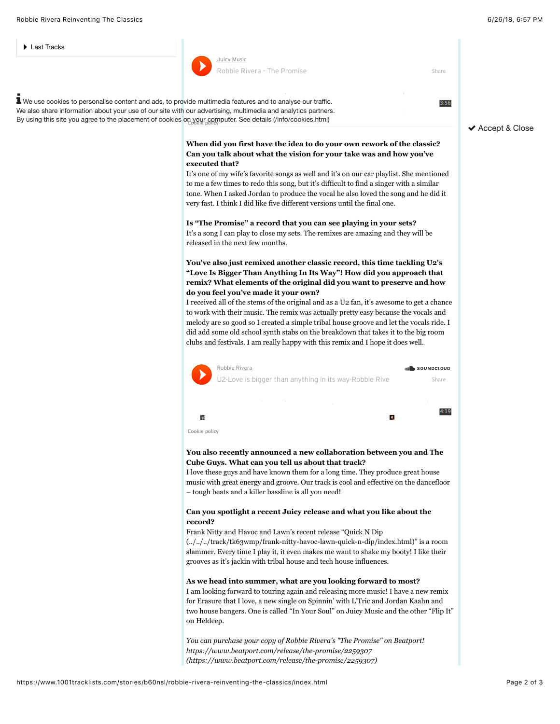| Last Tracks                                                                                                                                                                                                                                                                                                                                 |                                                                                                                                                                                                                                                                                                                                                          |                     |                                      |
|---------------------------------------------------------------------------------------------------------------------------------------------------------------------------------------------------------------------------------------------------------------------------------------------------------------------------------------------|----------------------------------------------------------------------------------------------------------------------------------------------------------------------------------------------------------------------------------------------------------------------------------------------------------------------------------------------------------|---------------------|--------------------------------------|
|                                                                                                                                                                                                                                                                                                                                             | Juicy Music<br>Robbie Rivera - The Promise                                                                                                                                                                                                                                                                                                               | Share               |                                      |
|                                                                                                                                                                                                                                                                                                                                             |                                                                                                                                                                                                                                                                                                                                                          |                     |                                      |
| I We use cookies to personalise content and ads, to provide multimedia features and to analyse our traffic.<br>We also share information about your use of our site with our advertising, multimedia and analytics partners.<br>By using this site you agree to the placement of cookies on your computer. See details (/info/cookies.html) |                                                                                                                                                                                                                                                                                                                                                          | 3:56                |                                      |
|                                                                                                                                                                                                                                                                                                                                             |                                                                                                                                                                                                                                                                                                                                                          |                     | $\blacktriangleright$ Accept & Close |
|                                                                                                                                                                                                                                                                                                                                             | When did you first have the idea to do your own rework of the classic?<br>Can you talk about what the vision for your take was and how you've                                                                                                                                                                                                            |                     |                                      |
|                                                                                                                                                                                                                                                                                                                                             | executed that?                                                                                                                                                                                                                                                                                                                                           |                     |                                      |
|                                                                                                                                                                                                                                                                                                                                             | It's one of my wife's favorite songs as well and it's on our car playlist. She mentioned<br>to me a few times to redo this song, but it's difficult to find a singer with a similar<br>tone. When I asked Jordan to produce the vocal he also loved the song and he did it<br>very fast. I think I did like five different versions until the final one. |                     |                                      |
|                                                                                                                                                                                                                                                                                                                                             | Is "The Promise" a record that you can see playing in your sets?<br>It's a song I can play to close my sets. The remixes are amazing and they will be<br>released in the next few months.                                                                                                                                                                |                     |                                      |
|                                                                                                                                                                                                                                                                                                                                             |                                                                                                                                                                                                                                                                                                                                                          |                     |                                      |
|                                                                                                                                                                                                                                                                                                                                             | You've also just remixed another classic record, this time tackling U2's<br>"Love Is Bigger Than Anything In Its Way"! How did you approach that<br>remix? What elements of the original did you want to preserve and how                                                                                                                                |                     |                                      |
|                                                                                                                                                                                                                                                                                                                                             | do you feel you've made it your own?<br>I received all of the stems of the original and as a U2 fan, it's awesome to get a chance                                                                                                                                                                                                                        |                     |                                      |
|                                                                                                                                                                                                                                                                                                                                             | to work with their music. The remix was actually pretty easy because the vocals and                                                                                                                                                                                                                                                                      |                     |                                      |
|                                                                                                                                                                                                                                                                                                                                             | melody are so good so I created a simple tribal house groove and let the vocals ride. I<br>did add some old school synth stabs on the breakdown that takes it to the big room<br>clubs and festivals. I am really happy with this remix and I hope it does well.                                                                                         |                     |                                      |
|                                                                                                                                                                                                                                                                                                                                             |                                                                                                                                                                                                                                                                                                                                                          |                     |                                      |
|                                                                                                                                                                                                                                                                                                                                             | Robbie Rivera<br>U2-Love is bigger than anything in its way-Robbie Rive                                                                                                                                                                                                                                                                                  | SOUNDCLOUD<br>Share |                                      |
|                                                                                                                                                                                                                                                                                                                                             |                                                                                                                                                                                                                                                                                                                                                          |                     |                                      |
|                                                                                                                                                                                                                                                                                                                                             | đ,                                                                                                                                                                                                                                                                                                                                                       | 4:19                |                                      |
|                                                                                                                                                                                                                                                                                                                                             | Cookie policy                                                                                                                                                                                                                                                                                                                                            |                     |                                      |
|                                                                                                                                                                                                                                                                                                                                             | You also recently announced a new collaboration between you and The<br>Cube Guys. What can you tell us about that track?                                                                                                                                                                                                                                 |                     |                                      |
|                                                                                                                                                                                                                                                                                                                                             | I love these guys and have known them for a long time. They produce great house<br>music with great energy and groove. Our track is cool and effective on the dancefloor                                                                                                                                                                                 |                     |                                      |
|                                                                                                                                                                                                                                                                                                                                             | - tough beats and a killer bassline is all you need!                                                                                                                                                                                                                                                                                                     |                     |                                      |
|                                                                                                                                                                                                                                                                                                                                             | Can you spotlight a recent Juicy release and what you like about the<br>record?                                                                                                                                                                                                                                                                          |                     |                                      |
|                                                                                                                                                                                                                                                                                                                                             | Frank Nitty and Havoc and Lawn's recent release "Quick N Dip<br>(///track/tk63wmp/frank-nitty-havoc-lawn-quick-n-dip/index.html)" is a room                                                                                                                                                                                                              |                     |                                      |
|                                                                                                                                                                                                                                                                                                                                             | slammer. Every time I play it, it even makes me want to shake my booty! I like their<br>grooves as it's jackin with tribal house and tech house influences.                                                                                                                                                                                              |                     |                                      |
|                                                                                                                                                                                                                                                                                                                                             | As we head into summer, what are you looking forward to most?                                                                                                                                                                                                                                                                                            |                     |                                      |
|                                                                                                                                                                                                                                                                                                                                             | I am looking forward to touring again and releasing more music! I have a new remix<br>for Erasure that I love, a new single on Spinnin' with L'Tric and Jordan Kaahn and                                                                                                                                                                                 |                     |                                      |
|                                                                                                                                                                                                                                                                                                                                             | two house bangers. One is called "In Your Soul" on Juicy Music and the other "Flip It"<br>on Heldeep.                                                                                                                                                                                                                                                    |                     |                                      |
|                                                                                                                                                                                                                                                                                                                                             | You can purchase your copy of Robbie Rivera's "The Promise" on Beatport!                                                                                                                                                                                                                                                                                 |                     |                                      |
|                                                                                                                                                                                                                                                                                                                                             | https://www.beatport.com/release/the-promise/2259307                                                                                                                                                                                                                                                                                                     |                     |                                      |
|                                                                                                                                                                                                                                                                                                                                             | (https://www.beatport.com/release/the-promise/2259307)                                                                                                                                                                                                                                                                                                   |                     |                                      |
| https://www.1001tracklists.com/stories/b60nsl/robbie-rivera-reinventing-the-classics/index.html                                                                                                                                                                                                                                             |                                                                                                                                                                                                                                                                                                                                                          |                     | Page 2 of 3                          |